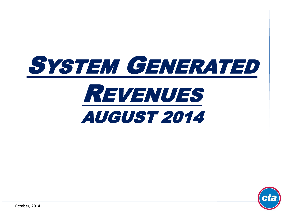



**October, 2014**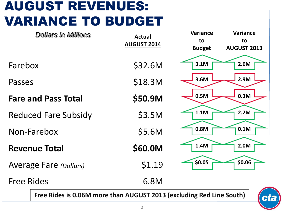# AUGUST REVENUES: VARIANCE TO BUDGET

|                               | <b>Dollars in Millions</b>                                           | <b>Actual</b><br><b>AUGUST 2014</b> | <b>Variance</b><br>to<br><b>Budget</b> | <b>Variance</b><br>to<br><b>AUGUST 2013</b> |
|-------------------------------|----------------------------------------------------------------------|-------------------------------------|----------------------------------------|---------------------------------------------|
| Farebox                       |                                                                      | \$32.6M                             | 3.1M                                   | 2.6M                                        |
| <b>Passes</b>                 |                                                                      | \$18.3M                             | 3.6M                                   | 2.9M                                        |
|                               | <b>Fare and Pass Total</b>                                           | \$50.9M                             | 0.5M                                   | 0.3M                                        |
|                               | <b>Reduced Fare Subsidy</b>                                          | \$3.5M                              | 1.1M                                   | 2.2M                                        |
| Non-Farebox                   |                                                                      | \$5.6M                              | 0.8M                                   | 0.1M                                        |
| <b>Revenue Total</b>          |                                                                      | \$60.0M                             | 1.4M                                   | 2.0M                                        |
| <b>Average Fare (Dollars)</b> |                                                                      | \$1.19                              | \$0.05                                 | \$0.06                                      |
| <b>Free Rides</b>             |                                                                      | 6.8M                                |                                        |                                             |
|                               | Free Rides is 0.06M more than AUGUST 2013 (excluding Red Line South) |                                     |                                        |                                             |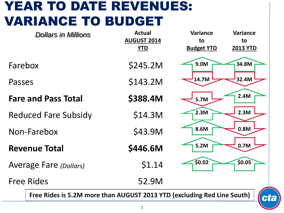## YEAR TO DATE REVENUES: VARIANCE TO BUDGET

|                      | <b>Dollars in Millions</b>                                              | <b>Actual</b>      | <b>Variance</b>   | <b>Variance</b> |
|----------------------|-------------------------------------------------------------------------|--------------------|-------------------|-----------------|
|                      |                                                                         | <b>AUGUST 2014</b> | to                | to              |
|                      |                                                                         | <b>YTD</b>         | <b>Budget YTD</b> | 2013 YTD        |
| Farebox              |                                                                         | \$245.2M           | 9.0M              | 34.8M           |
| <b>Passes</b>        |                                                                         | \$143.2M           | 14.7M             | 32.4M           |
|                      | <b>Fare and Pass Total</b>                                              | \$388.4M           | 5.7M              | 2.4M            |
|                      | <b>Reduced Fare Subsidy</b>                                             | \$14.3M            | 2.3M              | 2.3M            |
| Non-Farebox          |                                                                         | \$43.9M            | 8.6M              | 0.8M            |
| <b>Revenue Total</b> |                                                                         | \$446.6M           | 5.2M              | 0.7M            |
|                      | <b>Average Fare (Dollars)</b>                                           | \$1.14             | \$0.02\$          | \$0.05          |
|                      | <b>Free Rides</b>                                                       | 52.9M              |                   |                 |
|                      | Free Rides is 5.2M more than AUGUST 2013 YTD (excluding Red Line South) |                    |                   | Cl              |
|                      |                                                                         |                    |                   |                 |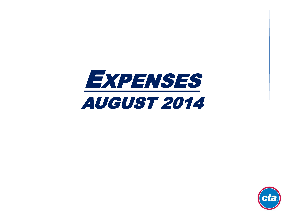

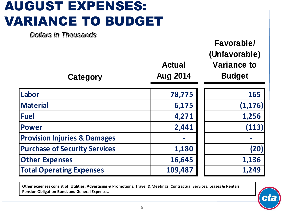# AUGUST EXPENSES: VARIANCE TO BUDGET

| <b>Dollars in Thousands</b><br>Category | <b>Actual</b><br><b>Aug 2014</b> | Favorable/<br>(Unfavorable)<br><b>Variance to</b><br><b>Budget</b> |
|-----------------------------------------|----------------------------------|--------------------------------------------------------------------|
| Labor                                   | 78,775                           | 165                                                                |
| <b>Material</b>                         | 6,175                            | (1, 176)                                                           |
| <b>Fuel</b>                             | 4,271                            | 1,256                                                              |
| <b>Power</b>                            | 2,441                            | (113)                                                              |
| <b>Provision Injuries &amp; Damages</b> |                                  |                                                                    |
| <b>Purchase of Security Services</b>    | 1,180                            | (20)                                                               |
| <b>Other Expenses</b>                   | 16,645                           | 1,136                                                              |
| <b>Total Operating Expenses</b>         | 109,487                          | 1,249                                                              |

**Other expenses consist of: Utilities, Advertising & Promotions, Travel & Meetings, Contractual Services, Leases & Rentals, Pension Obligation Bond, and General Expenses.**

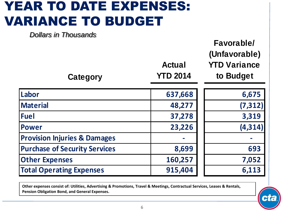## YEAR TO DATE EXPENSES: VARIANCE TO BUDGET

| <b>Dollars in Thousands</b><br>Category | <b>Actual</b><br><b>YTD 2014</b> | Favorable/<br>(Unfavorable)<br><b>YTD Variance</b><br>to Budget |
|-----------------------------------------|----------------------------------|-----------------------------------------------------------------|
| <b>Labor</b>                            | 637,668                          | 6,675                                                           |
| <b>Material</b>                         | 48,277                           | (7, 312)                                                        |
| <b>Fuel</b>                             | 37,278                           | 3,319                                                           |
| <b>Power</b>                            | 23,226                           | (4, 314)                                                        |
| <b>Provision Injuries &amp; Damages</b> |                                  |                                                                 |
| <b>Purchase of Security Services</b>    | 8,699                            | 693                                                             |
| <b>Other Expenses</b>                   | 160,257                          | 7,052                                                           |
| <b>Total Operating Expenses</b>         | 915,404                          | 6,113                                                           |

**Other expenses consist of: Utilities, Advertising & Promotions, Travel & Meetings, Contractual Services, Leases & Rentals, Pension Obligation Bond, and General Expenses.**